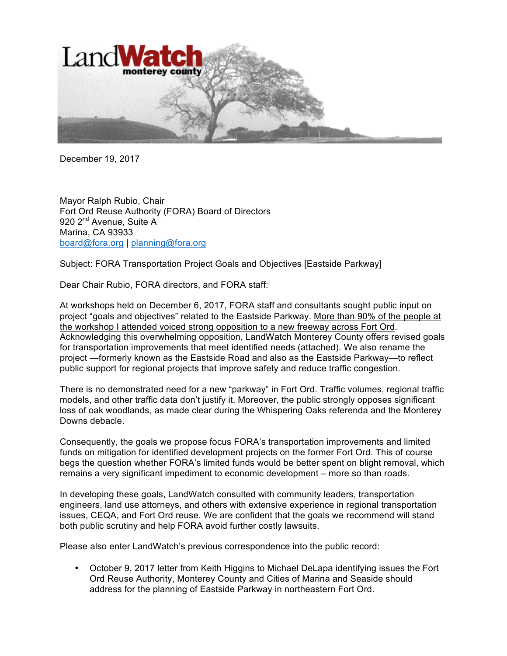

December 19, 2017

Mayor Ralph Rubio, Chair Fort Ord Reuse Authority (FORA) Board of Directors 920 2<sup>nd</sup> Avenue, Suite A Marina, CA 93933 board@fora.org | planning@fora.org

Subject: FORA Transportation Project Goals and Objectives [Eastside Parkway]

Dear Chair Rubio, FORA directors, and FORA staff:

At workshops held on December 6, 2017, FORA staff and consultants sought public input on project "goals and objectives" related to the Eastside Parkway. More than 90% of the people at the workshop I attended voiced strong opposition to a new freeway across Fort Ord. Acknowledging this overwhelming opposition, LandWatch Monterey County offers revised goals for transportation improvements that meet identified needs (attached). We also rename the project —formerly known as the Eastside Road and also as the Eastside Parkway—to reflect public support for regional projects that improve safety and reduce traffic congestion.

There is no demonstrated need for a new "parkway" in Fort Ord. Traffic volumes, regional traffic models, and other traffic data don't justify it. Moreover, the public strongly opposes significant loss of oak woodlands, as made clear during the Whispering Oaks referenda and the Monterey Downs debacle.

Consequently, the goals we propose focus FORA's transportation improvements and limited funds on mitigation for identified development projects on the former Fort Ord. This of course begs the question whether FORA's limited funds would be better spent on blight removal, which remains a very significant impediment to economic development – more so than roads.

In developing these goals, LandWatch consulted with community leaders, transportation engineers, land use attorneys, and others with extensive experience in regional transportation issues, CEQA, and Fort Ord reuse. We are confident that the goals we recommend will stand both public scrutiny and help FORA avoid further costly lawsuits.

Please also enter LandWatch's previous correspondence into the public record:

• October 9, 2017 letter from Keith Higgins to Michael DeLapa identifying issues the Fort Ord Reuse Authority, Monterey County and Cities of Marina and Seaside should address for the planning of Eastside Parkway in northeastern Fort Ord.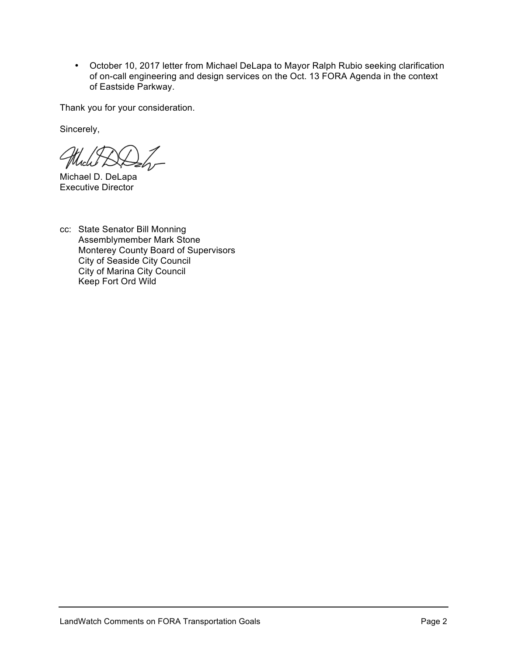• October 10, 2017 letter from Michael DeLapa to Mayor Ralph Rubio seeking clarification of on-call engineering and design services on the Oct. 13 FORA Agenda in the context of Eastside Parkway.

Thank you for your consideration.

Sincerely,

Michael D. DeLapa Executive Director

cc: State Senator Bill Monning Assemblymember Mark Stone Monterey County Board of Supervisors City of Seaside City Council City of Marina City Council Keep Fort Ord Wild